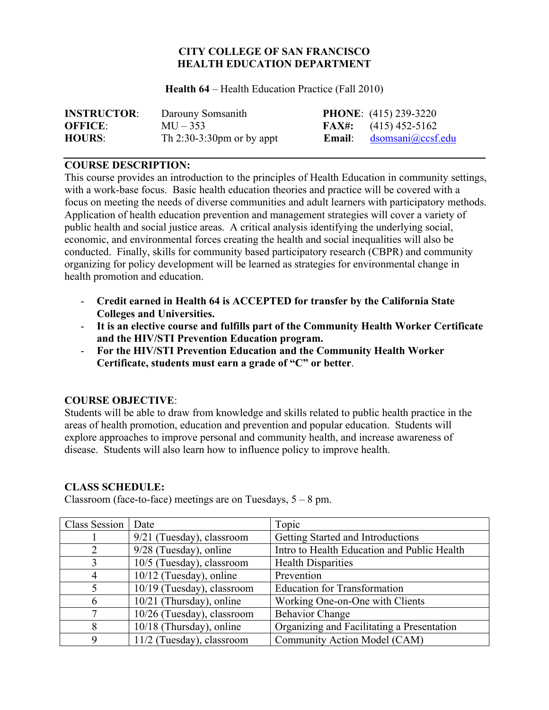### **CITY COLLEGE OF SAN FRANCISCO HEALTH EDUCATION DEPARTMENT**

**Health 64** – Health Education Practice (Fall 2010)

| <b>INSTRUCTOR:</b> | Darouny Somsanith            | <b>PHONE:</b> (415) 239-3220    |
|--------------------|------------------------------|---------------------------------|
| <b>OFFICE:</b>     | $MU - 353$                   | <b>FAX#:</b> $(415) 452 - 5162$ |
| <b>HOURS:</b>      | Th $2:30-3:30$ pm or by appt | <b>Email:</b> dsomsani@ccsf.edu |

#### **COURSE DESCRIPTION:**

This course provides an introduction to the principles of Health Education in community settings, with a work-base focus. Basic health education theories and practice will be covered with a focus on meeting the needs of diverse communities and adult learners with participatory methods. Application of health education prevention and management strategies will cover a variety of public health and social justice areas. A critical analysis identifying the underlying social, economic, and environmental forces creating the health and social inequalities will also be conducted. Finally, skills for community based participatory research (CBPR) and community organizing for policy development will be learned as strategies for environmental change in health promotion and education.

- **Credit earned in Health 64 is ACCEPTED for transfer by the California State Colleges and Universities.**
- **It is an elective course and fulfills part of the Community Health Worker Certificate and the HIV/STI Prevention Education program.**
- **For the HIV/STI Prevention Education and the Community Health Worker Certificate, students must earn a grade of "C" or better**.

### **COURSE OBJECTIVE**:

Students will be able to draw from knowledge and skills related to public health practice in the areas of health promotion, education and prevention and popular education. Students will explore approaches to improve personal and community health, and increase awareness of disease. Students will also learn how to influence policy to improve health.

### **CLASS SCHEDULE:**

| Class Session  | Date                        | Topic                                       |
|----------------|-----------------------------|---------------------------------------------|
|                | $9/21$ (Tuesday), classroom | Getting Started and Introductions           |
| 2              | 9/28 (Tuesday), online      | Intro to Health Education and Public Health |
| 3              | 10/5 (Tuesday), classroom   | <b>Health Disparities</b>                   |
| $\overline{4}$ | $10/12$ (Tuesday), online   | Prevention                                  |
| 5              | 10/19 (Tuesday), classroom  | <b>Education for Transformation</b>         |
| 6              | 10/21 (Thursday), online    | Working One-on-One with Clients             |
| 7              | 10/26 (Tuesday), classroom  | <b>Behavior Change</b>                      |
| 8              | $10/18$ (Thursday), online  | Organizing and Facilitating a Presentation  |
| 9              | 11/2 (Tuesday), classroom   | Community Action Model (CAM)                |

Classroom (face-to-face) meetings are on Tuesdays,  $5 - 8$  pm.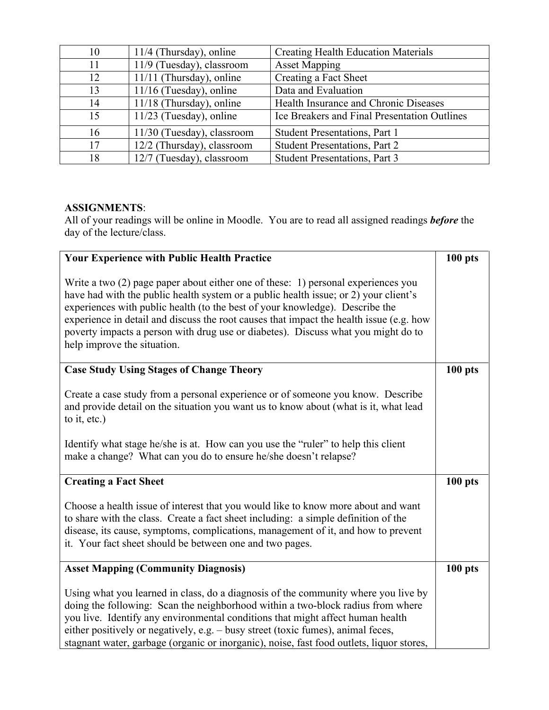| 10 | $11/4$ (Thursday), online  | <b>Creating Health Education Materials</b>   |
|----|----------------------------|----------------------------------------------|
| 11 | 11/9 (Tuesday), classroom  | <b>Asset Mapping</b>                         |
| 12 | $11/11$ (Thursday), online | Creating a Fact Sheet                        |
| 13 | $11/16$ (Tuesday), online  | Data and Evaluation                          |
| 14 | $11/18$ (Thursday), online | Health Insurance and Chronic Diseases        |
| 15 | $11/23$ (Tuesday), online  | Ice Breakers and Final Presentation Outlines |
| 16 | 11/30 (Tuesday), classroom | Student Presentations, Part 1                |
| 17 | 12/2 (Thursday), classroom | <b>Student Presentations, Part 2</b>         |
| 18 | 12/7 (Tuesday), classroom  | <b>Student Presentations, Part 3</b>         |

## **ASSIGNMENTS**:

All of your readings will be online in Moodle. You are to read all assigned readings *before* the day of the lecture/class.

| <b>Your Experience with Public Health Practice</b>                                                                                                                                                                                                                                                                                                                                                                                                                         | $100$ pts |  |
|----------------------------------------------------------------------------------------------------------------------------------------------------------------------------------------------------------------------------------------------------------------------------------------------------------------------------------------------------------------------------------------------------------------------------------------------------------------------------|-----------|--|
| Write a two $(2)$ page paper about either one of these: 1) personal experiences you<br>have had with the public health system or a public health issue; or 2) your client's<br>experiences with public health (to the best of your knowledge). Describe the<br>experience in detail and discuss the root causes that impact the health issue (e.g. how<br>poverty impacts a person with drug use or diabetes). Discuss what you might do to<br>help improve the situation. |           |  |
| <b>Case Study Using Stages of Change Theory</b>                                                                                                                                                                                                                                                                                                                                                                                                                            | $100$ pts |  |
| Create a case study from a personal experience or of someone you know. Describe<br>and provide detail on the situation you want us to know about (what is it, what lead<br>to it, etc.)                                                                                                                                                                                                                                                                                    |           |  |
| Identify what stage he/she is at. How can you use the "ruler" to help this client<br>make a change? What can you do to ensure he/she doesn't relapse?                                                                                                                                                                                                                                                                                                                      |           |  |
| <b>Creating a Fact Sheet</b>                                                                                                                                                                                                                                                                                                                                                                                                                                               | $100$ pts |  |
| Choose a health issue of interest that you would like to know more about and want<br>to share with the class. Create a fact sheet including: a simple definition of the<br>disease, its cause, symptoms, complications, management of it, and how to prevent<br>it. Your fact sheet should be between one and two pages.                                                                                                                                                   |           |  |
| <b>Asset Mapping (Community Diagnosis)</b>                                                                                                                                                                                                                                                                                                                                                                                                                                 | $100$ pts |  |
| Using what you learned in class, do a diagnosis of the community where you live by<br>doing the following: Scan the neighborhood within a two-block radius from where<br>you live. Identify any environmental conditions that might affect human health<br>either positively or negatively, e.g. - busy street (toxic fumes), animal feces,<br>stagnant water, garbage (organic or inorganic), noise, fast food outlets, liquor stores,                                    |           |  |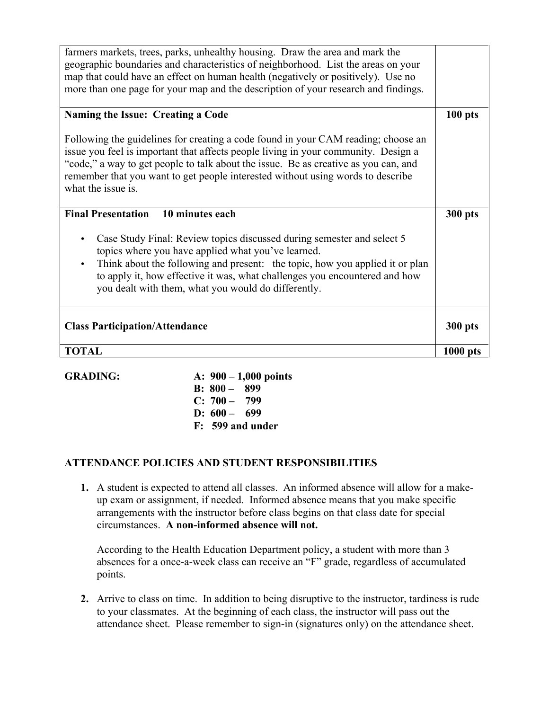| farmers markets, trees, parks, unhealthy housing. Draw the area and mark the<br>geographic boundaries and characteristics of neighborhood. List the areas on your<br>map that could have an effect on human health (negatively or positively). Use no<br>more than one page for your map and the description of your research and findings.                             |            |  |
|-------------------------------------------------------------------------------------------------------------------------------------------------------------------------------------------------------------------------------------------------------------------------------------------------------------------------------------------------------------------------|------------|--|
| Naming the Issue: Creating a Code                                                                                                                                                                                                                                                                                                                                       |            |  |
| Following the guidelines for creating a code found in your CAM reading; choose an<br>issue you feel is important that affects people living in your community. Design a<br>"code," a way to get people to talk about the issue. Be as creative as you can, and<br>remember that you want to get people interested without using words to describe<br>what the issue is. |            |  |
| 10 minutes each<br><b>Final Presentation</b>                                                                                                                                                                                                                                                                                                                            |            |  |
| Case Study Final: Review topics discussed during semester and select 5<br>topics where you have applied what you've learned.<br>Think about the following and present: the topic, how you applied it or plan<br>$\bullet$<br>to apply it, how effective it was, what challenges you encountered and how<br>you dealt with them, what you would do differently.          |            |  |
| <b>Class Participation/Attendance</b>                                                                                                                                                                                                                                                                                                                                   |            |  |
| <b>TOTAL</b>                                                                                                                                                                                                                                                                                                                                                            | $1000$ pts |  |

**GRADING: A: 900 – 1,000 points B: 800 – 899 C: 700 – 799 D: 600 – 699 F: 599 and under**

# **ATTENDANCE POLICIES AND STUDENT RESPONSIBILITIES**

**1.** A student is expected to attend all classes. An informed absence will allow for a makeup exam or assignment, if needed. Informed absence means that you make specific arrangements with the instructor before class begins on that class date for special circumstances. **A non-informed absence will not.** 

According to the Health Education Department policy, a student with more than 3 absences for a once-a-week class can receive an "F" grade, regardless of accumulated points.

**2.** Arrive to class on time. In addition to being disruptive to the instructor, tardiness is rude to your classmates. At the beginning of each class, the instructor will pass out the attendance sheet. Please remember to sign-in (signatures only) on the attendance sheet.